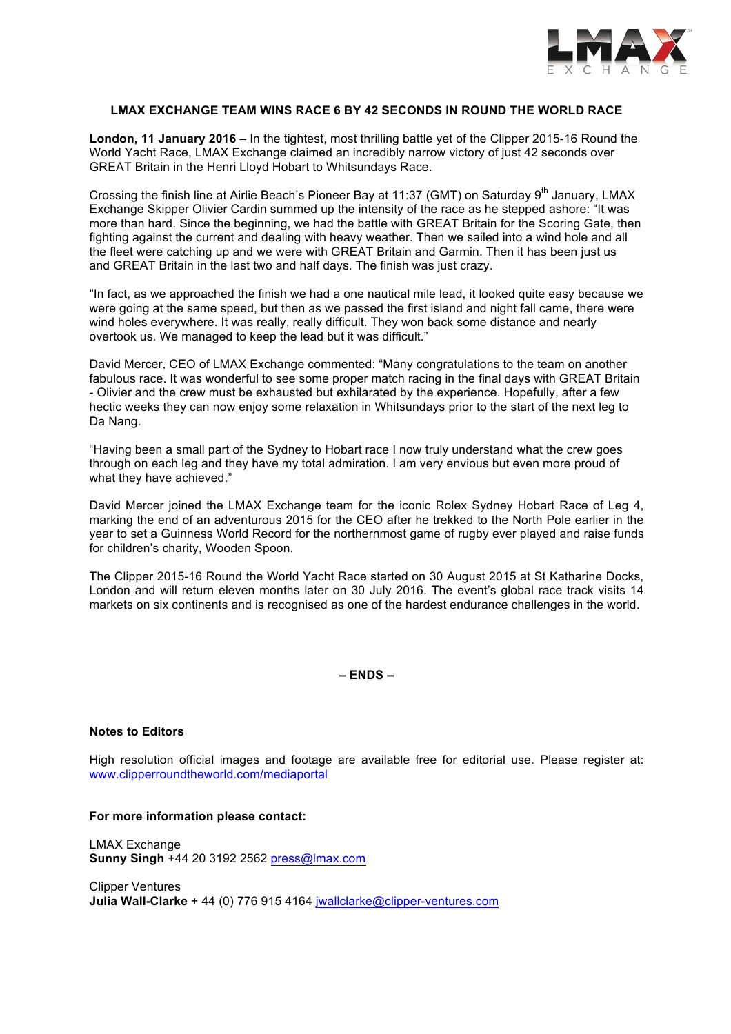

### **LMAX EXCHANGE TEAM WINS RACE 6 BY 42 SECONDS IN ROUND THE WORLD RACE**

**London, 11 January 2016** – In the tightest, most thrilling battle yet of the Clipper 2015-16 Round the World Yacht Race, LMAX Exchange claimed an incredibly narrow victory of just 42 seconds over GREAT Britain in the Henri Lloyd Hobart to Whitsundays Race.

Crossing the finish line at Airlie Beach's Pioneer Bay at 11:37 (GMT) on Saturday  $9<sup>th</sup>$  January, LMAX Exchange Skipper Olivier Cardin summed up the intensity of the race as he stepped ashore: "It was more than hard. Since the beginning, we had the battle with GREAT Britain for the Scoring Gate, then fighting against the current and dealing with heavy weather. Then we sailed into a wind hole and all the fleet were catching up and we were with GREAT Britain and Garmin. Then it has been just us and GREAT Britain in the last two and half days. The finish was just crazy.

"In fact, as we approached the finish we had a one nautical mile lead, it looked quite easy because we were going at the same speed, but then as we passed the first island and night fall came, there were wind holes everywhere. It was really, really difficult. They won back some distance and nearly overtook us. We managed to keep the lead but it was difficult."

David Mercer, CEO of LMAX Exchange commented: "Many congratulations to the team on another fabulous race. It was wonderful to see some proper match racing in the final days with GREAT Britain - Olivier and the crew must be exhausted but exhilarated by the experience. Hopefully, after a few hectic weeks they can now enjoy some relaxation in Whitsundays prior to the start of the next leg to Da Nang.

"Having been a small part of the Sydney to Hobart race I now truly understand what the crew goes through on each leg and they have my total admiration. I am very envious but even more proud of what they have achieved."

David Mercer joined the LMAX Exchange team for the iconic Rolex Sydney Hobart Race of Leg 4, marking the end of an adventurous 2015 for the CEO after he trekked to the North Pole earlier in the year to set a Guinness World Record for the northernmost game of rugby ever played and raise funds for children's charity, Wooden Spoon.

The Clipper 2015-16 Round the World Yacht Race started on 30 August 2015 at St Katharine Docks, London and will return eleven months later on 30 July 2016. The event's global race track visits 14 markets on six continents and is recognised as one of the hardest endurance challenges in the world.

**– ENDS –**

# **Notes to Editors**

High resolution official images and footage are available free for editorial use. Please register at: www.clipperroundtheworld.com/mediaportal

#### **For more information please contact:**

LMAX Exchange **Sunny Singh** +44 20 3192 2562 press@lmax.com

Clipper Ventures **Julia Wall-Clarke** + 44 (0) 776 915 4164 jwallclarke@clipper-ventures.com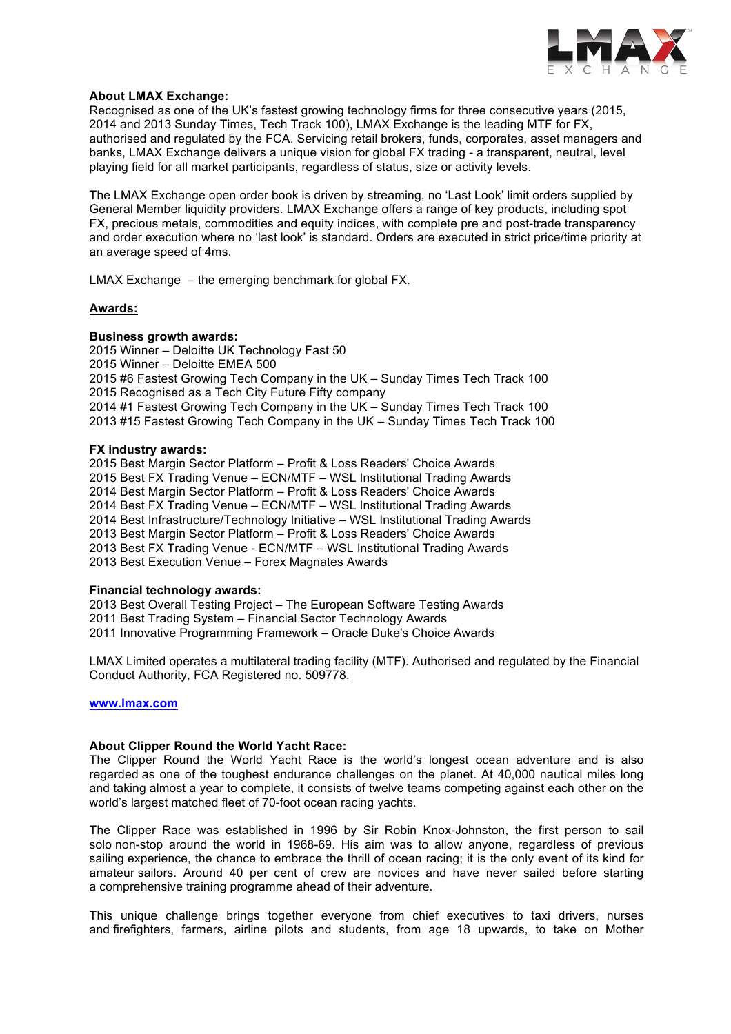

# **About LMAX Exchange:**

Recognised as one of the UK's fastest growing technology firms for three consecutive years (2015, 2014 and 2013 Sunday Times, Tech Track 100), LMAX Exchange is the leading MTF for FX, authorised and regulated by the FCA. Servicing retail brokers, funds, corporates, asset managers and banks, LMAX Exchange delivers a unique vision for global FX trading - a transparent, neutral, level playing field for all market participants, regardless of status, size or activity levels.

The LMAX Exchange open order book is driven by streaming, no 'Last Look' limit orders supplied by General Member liquidity providers. LMAX Exchange offers a range of key products, including spot FX, precious metals, commodities and equity indices, with complete pre and post-trade transparency and order execution where no 'last look' is standard. Orders are executed in strict price/time priority at an average speed of 4ms.

LMAX Exchange – the emerging benchmark for global FX.

#### **Awards:**

#### **Business growth awards:**

2015 Winner – Deloitte UK Technology Fast 50 2015 Winner – Deloitte EMEA 500 2015 #6 Fastest Growing Tech Company in the UK – Sunday Times Tech Track 100 2015 Recognised as a Tech City Future Fifty company 2014 #1 Fastest Growing Tech Company in the UK – Sunday Times Tech Track 100 2013 #15 Fastest Growing Tech Company in the UK – Sunday Times Tech Track 100

# **FX industry awards:**

2015 Best Margin Sector Platform – Profit & Loss Readers' Choice Awards 2015 Best FX Trading Venue – ECN/MTF – WSL Institutional Trading Awards 2014 Best Margin Sector Platform – Profit & Loss Readers' Choice Awards 2014 Best FX Trading Venue – ECN/MTF – WSL Institutional Trading Awards 2014 Best Infrastructure/Technology Initiative – WSL Institutional Trading Awards 2013 Best Margin Sector Platform – Profit & Loss Readers' Choice Awards 2013 Best FX Trading Venue - ECN/MTF – WSL Institutional Trading Awards 2013 Best Execution Venue – Forex Magnates Awards

#### **Financial technology awards:**

2013 Best Overall Testing Project – The European Software Testing Awards 2011 Best Trading System – Financial Sector Technology Awards 2011 Innovative Programming Framework – Oracle Duke's Choice Awards

LMAX Limited operates a multilateral trading facility (MTF). Authorised and regulated by the Financial Conduct Authority, FCA Registered no. 509778.

# **www.lmax.com**

# **About Clipper Round the World Yacht Race:**

The Clipper Round the World Yacht Race is the world's longest ocean adventure and is also regarded as one of the toughest endurance challenges on the planet. At 40,000 nautical miles long and taking almost a year to complete, it consists of twelve teams competing against each other on the world's largest matched fleet of 70-foot ocean racing yachts.

The Clipper Race was established in 1996 by Sir Robin Knox-Johnston, the first person to sail solo non-stop around the world in 1968-69. His aim was to allow anyone, regardless of previous sailing experience, the chance to embrace the thrill of ocean racing; it is the only event of its kind for amateur sailors. Around 40 per cent of crew are novices and have never sailed before starting a comprehensive training programme ahead of their adventure.

This unique challenge brings together everyone from chief executives to taxi drivers, nurses and firefighters, farmers, airline pilots and students, from age 18 upwards, to take on Mother